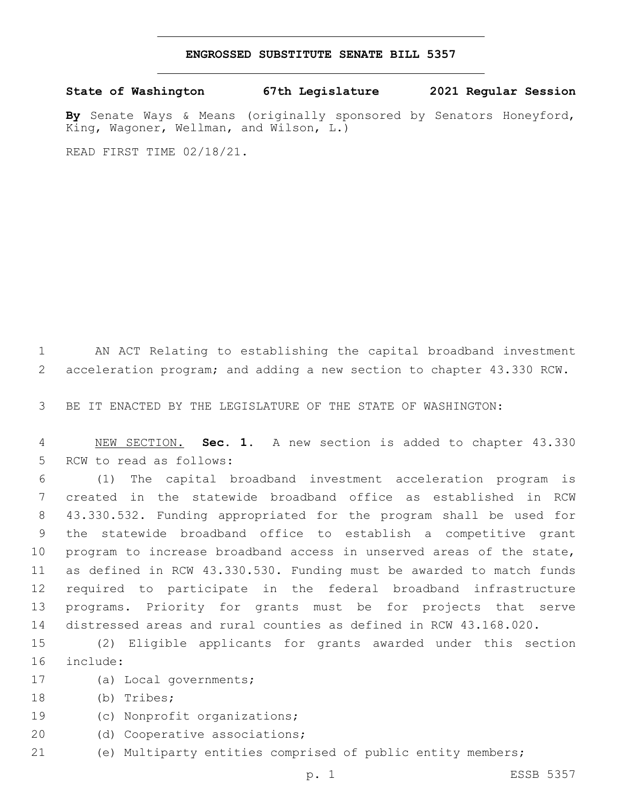## **ENGROSSED SUBSTITUTE SENATE BILL 5357**

**State of Washington 67th Legislature 2021 Regular Session**

**By** Senate Ways & Means (originally sponsored by Senators Honeyford, King, Wagoner, Wellman, and Wilson, L.)

READ FIRST TIME 02/18/21.

1 AN ACT Relating to establishing the capital broadband investment 2 acceleration program; and adding a new section to chapter 43.330 RCW.

3 BE IT ENACTED BY THE LEGISLATURE OF THE STATE OF WASHINGTON:

4 NEW SECTION. **Sec. 1.** A new section is added to chapter 43.330 5 RCW to read as follows:

 (1) The capital broadband investment acceleration program is created in the statewide broadband office as established in RCW 43.330.532. Funding appropriated for the program shall be used for the statewide broadband office to establish a competitive grant program to increase broadband access in unserved areas of the state, as defined in RCW 43.330.530. Funding must be awarded to match funds required to participate in the federal broadband infrastructure programs. Priority for grants must be for projects that serve distressed areas and rural counties as defined in RCW 43.168.020.

15 (2) Eligible applicants for grants awarded under this section include:16

- 17 (a) Local governments;
- 18 (b) Tribes;
- 19 (c) Nonprofit organizations;
- 20 (d) Cooperative associations;
- 21 (e) Multiparty entities comprised of public entity members;